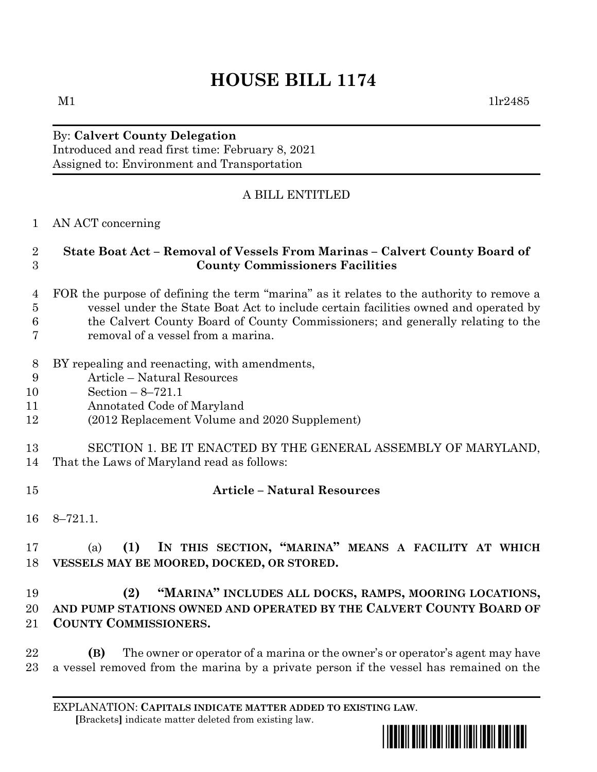# **HOUSE BILL 1174**

#### By: **Calvert County Delegation** Introduced and read first time: February 8, 2021

Assigned to: Environment and Transportation

# A BILL ENTITLED

## AN ACT concerning

## **State Boat Act – Removal of Vessels From Marinas – Calvert County Board of County Commissioners Facilities**

- FOR the purpose of defining the term "marina" as it relates to the authority to remove a vessel under the State Boat Act to include certain facilities owned and operated by the Calvert County Board of County Commissioners; and generally relating to the
- removal of a vessel from a marina.
- BY repealing and reenacting, with amendments,
- Article Natural Resources
- Section 8–721.1
- Annotated Code of Maryland
- (2012 Replacement Volume and 2020 Supplement)
- SECTION 1. BE IT ENACTED BY THE GENERAL ASSEMBLY OF MARYLAND,
- That the Laws of Maryland read as follows:
- 

## **Article – Natural Resources**

8–721.1.

# (a) **(1) IN THIS SECTION, "MARINA" MEANS A FACILITY AT WHICH VESSELS MAY BE MOORED, DOCKED, OR STORED.**

# **(2) "MARINA" INCLUDES ALL DOCKS, RAMPS, MOORING LOCATIONS, AND PUMP STATIONS OWNED AND OPERATED BY THE CALVERT COUNTY BOARD OF COUNTY COMMISSIONERS.**

 **(B)** The owner or operator of a marina or the owner's or operator's agent may have a vessel removed from the marina by a private person if the vessel has remained on the

EXPLANATION: **CAPITALS INDICATE MATTER ADDED TO EXISTING LAW**.  **[**Brackets**]** indicate matter deleted from existing law.



 $M1$   $11r2485$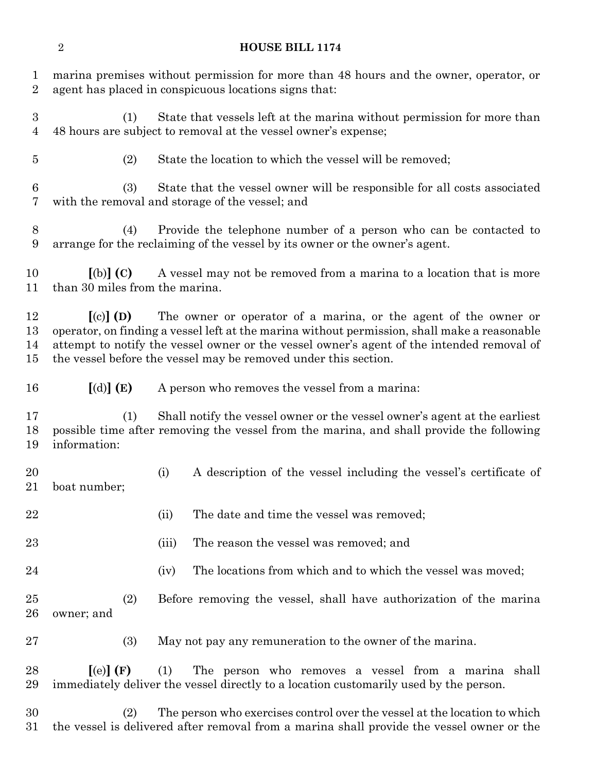#### **HOUSE BILL 1174**

 marina premises without permission for more than 48 hours and the owner, operator, or agent has placed in conspicuous locations signs that: (1) State that vessels left at the marina without permission for more than 48 hours are subject to removal at the vessel owner's expense;

(2) State the location to which the vessel will be removed;

 (3) State that the vessel owner will be responsible for all costs associated with the removal and storage of the vessel; and

 (4) Provide the telephone number of a person who can be contacted to arrange for the reclaiming of the vessel by its owner or the owner's agent.

 **[**(b)**] (C)** A vessel may not be removed from a marina to a location that is more than 30 miles from the marina.

 **[**(c)**] (D)** The owner or operator of a marina, or the agent of the owner or operator, on finding a vessel left at the marina without permission, shall make a reasonable attempt to notify the vessel owner or the vessel owner's agent of the intended removal of the vessel before the vessel may be removed under this section.

**[**(d)**] (E)** A person who removes the vessel from a marina:

 (1) Shall notify the vessel owner or the vessel owner's agent at the earliest possible time after removing the vessel from the marina, and shall provide the following information:

 (i) A description of the vessel including the vessel's certificate of boat number;

- 22 (ii) The date and time the vessel was removed;
- (iii) The reason the vessel was removed; and
- 24 (iv) The locations from which and to which the vessel was moved;

 (2) Before removing the vessel, shall have authorization of the marina owner; and

(3) May not pay any remuneration to the owner of the marina.

 **[**(e)**] (F)** (1) The person who removes a vessel from a marina shall immediately deliver the vessel directly to a location customarily used by the person.

 (2) The person who exercises control over the vessel at the location to which the vessel is delivered after removal from a marina shall provide the vessel owner or the